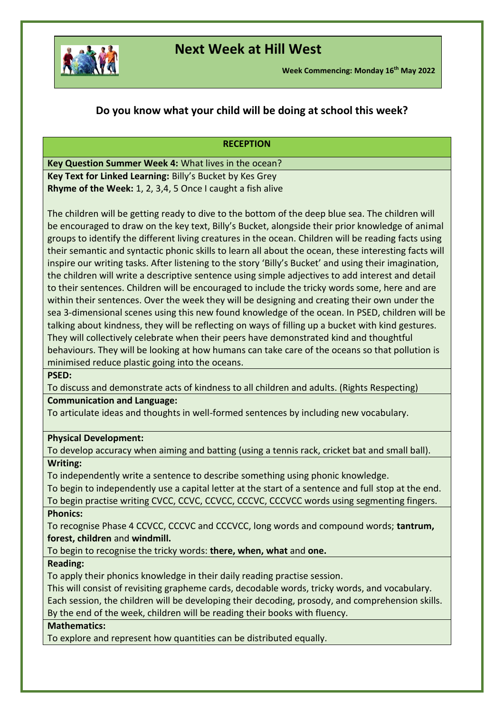

# **Next Week at Hill West**

### **Do you know what your child will be doing at school this week?**

#### **RECEPTION**

**Key Question Summer Week 4:** What lives in the ocean? **Key Text for Linked Learning:** Billy's Bucket by Kes Grey **Rhyme of the Week:** 1, 2, 3,4, 5 Once I caught a fish alive

The children will be getting ready to dive to the bottom of the deep blue sea. The children will be encouraged to draw on the key text, Billy's Bucket, alongside their prior knowledge of animal groups to identify the different living creatures in the ocean. Children will be reading facts using their semantic and syntactic phonic skills to learn all about the ocean, these interesting facts will inspire our writing tasks. After listening to the story 'Billy's Bucket' and using their imagination, the children will write a descriptive sentence using simple adjectives to add interest and detail to their sentences. Children will be encouraged to include the tricky words some, here and are within their sentences. Over the week they will be designing and creating their own under the sea 3-dimensional scenes using this new found knowledge of the ocean. In PSED, children will be talking about kindness, they will be reflecting on ways of filling up a bucket with kind gestures. They will collectively celebrate when their peers have demonstrated kind and thoughtful behaviours. They will be looking at how humans can take care of the oceans so that pollution is minimised reduce plastic going into the oceans.

### **PSED:**

To discuss and demonstrate acts of kindness to all children and adults. (Rights Respecting) **Communication and Language:** 

To articulate ideas and thoughts in well-formed sentences by including new vocabulary.

### **Physical Development:**

To develop accuracy when aiming and batting (using a tennis rack, cricket bat and small ball). **Writing:**

To independently write a sentence to describe something using phonic knowledge.

To begin to independently use a capital letter at the start of a sentence and full stop at the end.

To begin practise writing CVCC, CCVC, CCVCC, CCCVC, CCCVCC words using segmenting fingers. **Phonics:** 

To recognise Phase 4 CCVCC, CCCVC and CCCVCC, long words and compound words; **tantrum, forest, children** and **windmill.**

To begin to recognise the tricky words: **there, when, what** and **one.**

### **Reading:**

To apply their phonics knowledge in their daily reading practise session.

This will consist of revisiting grapheme cards, decodable words, tricky words, and vocabulary. Each session, the children will be developing their decoding, prosody, and comprehension skills. By the end of the week, children will be reading their books with fluency.

### **Mathematics:**

To explore and represent how quantities can be distributed equally.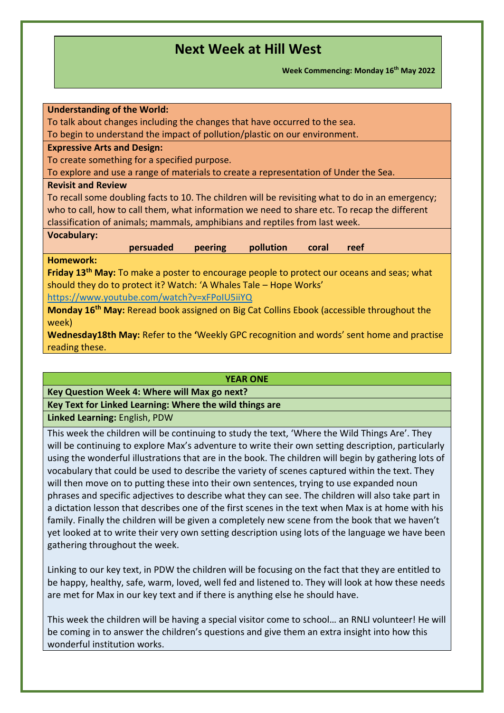**Week Commencing: Monday 16th May 2022**

| <b>Understanding of the World:</b>                                                                     |
|--------------------------------------------------------------------------------------------------------|
| To talk about changes including the changes that have occurred to the sea.                             |
| To begin to understand the impact of pollution/plastic on our environment.                             |
| <b>Expressive Arts and Design:</b>                                                                     |
| To create something for a specified purpose.                                                           |
| To explore and use a range of materials to create a representation of Under the Sea.                   |
| <b>Revisit and Review</b>                                                                              |
| To recall some doubling facts to 10. The children will be revisiting what to do in an emergency;       |
| who to call, how to call them, what information we need to share etc. To recap the different           |
| classification of animals; mammals, amphibians and reptiles from last week.                            |
| <b>Vocabulary:</b>                                                                                     |
| persuaded<br>pollution<br>peering<br>coral<br>reef                                                     |
| <b>Homework:</b>                                                                                       |
| Friday 13 <sup>th</sup> May: To make a poster to encourage people to protect our oceans and seas; what |
| should they do to protect it? Watch: 'A Whales Tale - Hope Works'                                      |
| https://www.youtube.com/watch?v=xFPoIU5iiYQ                                                            |
| Monday 16 <sup>th</sup> May: Reread book assigned on Big Cat Collins Ebook (accessible throughout the  |
|                                                                                                        |
| week)                                                                                                  |
| Wednesday18th May: Refer to the 'Weekly GPC recognition and words' sent home and practise              |
| reading these.                                                                                         |
|                                                                                                        |

#### **YEAR ONE**

#### **Key Question Week 4: Where will Max go next?**

### **Key Text for Linked Learning: Where the wild things are**

**Linked Learning:** English, PDW

This week the children will be continuing to study the text, 'Where the Wild Things Are'. They will be continuing to explore Max's adventure to write their own setting description, particularly using the wonderful illustrations that are in the book. The children will begin by gathering lots of vocabulary that could be used to describe the variety of scenes captured within the text. They will then move on to putting these into their own sentences, trying to use expanded noun phrases and specific adjectives to describe what they can see. The children will also take part in a dictation lesson that describes one of the first scenes in the text when Max is at home with his family. Finally the children will be given a completely new scene from the book that we haven't yet looked at to write their very own setting description using lots of the language we have been gathering throughout the week.

Linking to our key text, in PDW the children will be focusing on the fact that they are entitled to be happy, healthy, safe, warm, loved, well fed and listened to. They will look at how these needs are met for Max in our key text and if there is anything else he should have.

This week the children will be having a special visitor come to school… an RNLI volunteer! He will be coming in to answer the children's questions and give them an extra insight into how this wonderful institution works.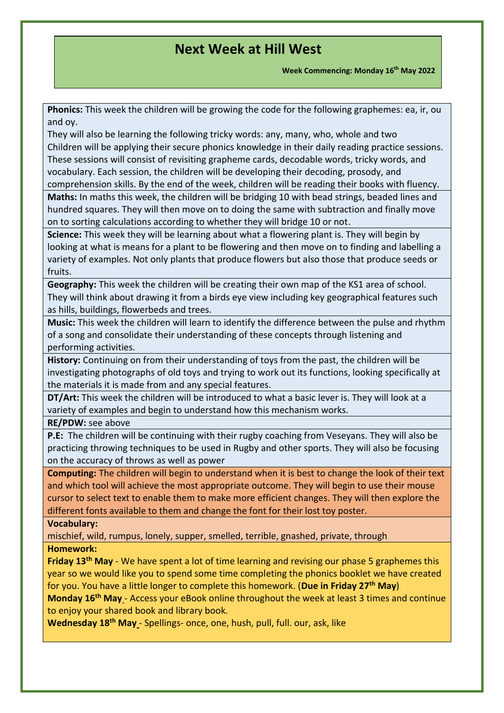**Week Commencing: Monday 16th May 2022**

**Phonics:** This week the children will be growing the code for the following graphemes: ea, ir, ou and oy.

They will also be learning the following tricky words: any, many, who, whole and two Children will be applying their secure phonics knowledge in their daily reading practice sessions. These sessions will consist of revisiting grapheme cards, decodable words, tricky words, and vocabulary. Each session, the children will be developing their decoding, prosody, and comprehension skills. By the end of the week, children will be reading their books with fluency.

**Maths:** In maths this week, the children will be bridging 10 with bead strings, beaded lines and hundred squares. They will then move on to doing the same with subtraction and finally move on to sorting calculations according to whether they will bridge 10 or not.

**Science:** This week they will be learning about what a flowering plant is. They will begin by looking at what is means for a plant to be flowering and then move on to finding and labelling a variety of examples. Not only plants that produce flowers but also those that produce seeds or fruits.

**Geography:** This week the children will be creating their own map of the KS1 area of school. They will think about drawing it from a birds eye view including key geographical features such as hills, buildings, flowerbeds and trees.

**Music:** This week the children will learn to identify the difference between the pulse and rhythm of a song and consolidate their understanding of these concepts through listening and performing activities.

**History:** Continuing on from their understanding of toys from the past, the children will be investigating photographs of old toys and trying to work out its functions, looking specifically at the materials it is made from and any special features.

**DT/Art:** This week the children will be introduced to what a basic lever is. They will look at a variety of examples and begin to understand how this mechanism works.

**RE/PDW:** see above

**P.E:** The children will be continuing with their rugby coaching from Veseyans. They will also be practicing throwing techniques to be used in Rugby and other sports. They will also be focusing on the accuracy of throws as well as power

**Computing:** The children will begin to understand when it is best to change the look of their text and which tool will achieve the most appropriate outcome. They will begin to use their mouse cursor to select text to enable them to make more efficient changes. They will then explore the different fonts available to them and change the font for their lost toy poster.

### **Vocabulary:**

mischief, wild, rumpus, lonely, supper, smelled, terrible, gnashed, private, through **Homework:** 

**Friday 13th May** - We have spent a lot of time learning and revising our phase 5 graphemes this year so we would like you to spend some time completing the phonics booklet we have created for you. You have a little longer to complete this homework. (**Due in Friday 27th May**)

**Monday 16th May** - Access your eBook online throughout the week at least 3 times and continue to enjoy your shared book and library book.

**Wednesday 18th May** - Spellings- once, one, hush, pull, full. our, ask, like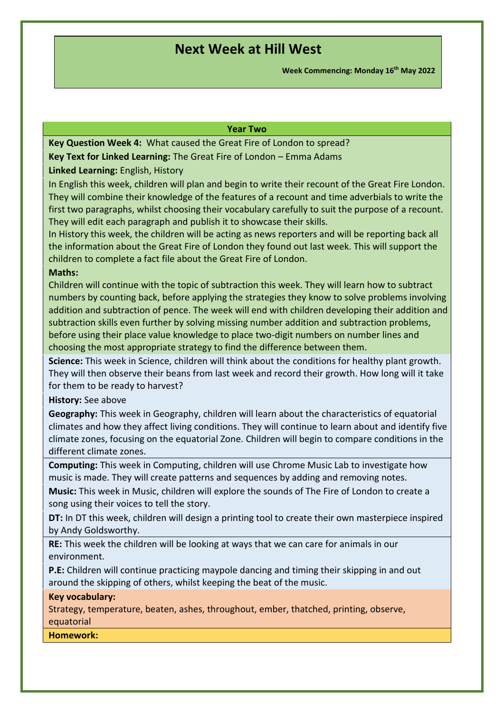**Week Commencing: Monday 16th May 2022**

#### **Year Two**

**Key Question Week 4:** What caused the Great Fire of London to spread?

**Key Text for Linked Learning:** The Great Fire of London – Emma Adams

**Linked Learning:** English, History

In English this week, children will plan and begin to write their recount of the Great Fire London. They will combine their knowledge of the features of a recount and time adverbials to write the first two paragraphs, whilst choosing their vocabulary carefully to suit the purpose of a recount. They will edit each paragraph and publish it to showcase their skills.

In History this week, the children will be acting as news reporters and will be reporting back all the information about the Great Fire of London they found out last week. This will support the children to complete a fact file about the Great Fire of London.

### **Maths:**

Children will continue with the topic of subtraction this week. They will learn how to subtract numbers by counting back, before applying the strategies they know to solve problems involving addition and subtraction of pence. The week will end with children developing their addition and subtraction skills even further by solving missing number addition and subtraction problems, before using their place value knowledge to place two-digit numbers on number lines and choosing the most appropriate strategy to find the difference between them.

**Science:** This week in Science, children will think about the conditions for healthy plant growth. They will then observe their beans from last week and record their growth. How long will it take for them to be ready to harvest?

**History:** See above

**Geography:** This week in Geography, children will learn about the characteristics of equatorial climates and how they affect living conditions. They will continue to learn about and identify five climate zones, focusing on the equatorial Zone. Children will begin to compare conditions in the different climate zones.

**Computing:** This week in Computing, children will use Chrome Music Lab to investigate how music is made. They will create patterns and sequences by adding and removing notes.

**Music:** This week in Music, children will explore the sounds of The Fire of London to create a song using their voices to tell the story.

**DT:** In DT this week, children will design a printing tool to create their own masterpiece inspired by Andy Goldsworthy.

**RE:**This week the children will be looking at ways that we can care for animals in our environment.

**P.E:**Children will continue practicing maypole dancing and timing their skipping in and out around the skipping of others, whilst keeping the beat of the music.

**Key vocabulary:**

Strategy, temperature, beaten, ashes, throughout, ember, thatched, printing, observe, equatorial

**Homework:**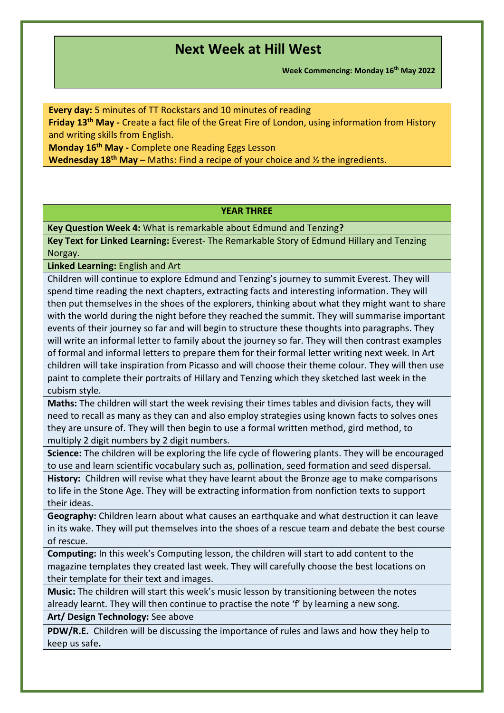**Week Commencing: Monday 16th May 2022**

**Every day:** 5 minutes of TT Rockstars and 10 minutes of reading

**Friday 13th May -** Create a fact file of the Great Fire of London, using information from History and writing skills from English.

**Monday 16th May -** Complete one Reading Eggs Lesson

**Wednesday 18th May –** Maths: Find a recipe of your choice and ½ the ingredients.

### **YEAR THREE**

**Key Question Week 4:** What is remarkable about Edmund and Tenzing**?**

**Key Text for Linked Learning:** Everest- The Remarkable Story of Edmund Hillary and Tenzing Norgay.

**Linked Learning:** English and Art

Children will continue to explore Edmund and Tenzing's journey to summit Everest. They will spend time reading the next chapters, extracting facts and interesting information. They will then put themselves in the shoes of the explorers, thinking about what they might want to share with the world during the night before they reached the summit. They will summarise important events of their journey so far and will begin to structure these thoughts into paragraphs. They will write an informal letter to family about the journey so far. They will then contrast examples of formal and informal letters to prepare them for their formal letter writing next week. In Art children will take inspiration from Picasso and will choose their theme colour. They will then use paint to complete their portraits of Hillary and Tenzing which they sketched last week in the cubism style.

**Maths:** The children will start the week revising their times tables and division facts, they will need to recall as many as they can and also employ strategies using known facts to solves ones they are unsure of. They will then begin to use a formal written method, gird method, to multiply 2 digit numbers by 2 digit numbers.

**Science:** The children will be exploring the life cycle of flowering plants. They will be encouraged to use and learn scientific vocabulary such as, pollination, seed formation and seed dispersal.

**History:** Children will revise what they have learnt about the Bronze age to make comparisons to life in the Stone Age. They will be extracting information from nonfiction texts to support their ideas.

**Geography:** Children learn about what causes an earthquake and what destruction it can leave in its wake. They will put themselves into the shoes of a rescue team and debate the best course of rescue.

**Computing:** In this week's Computing lesson, the children will start to add content to the magazine templates they created last week. They will carefully choose the best locations on their template for their text and images.

**Music:** The children will start this week's music lesson by transitioning between the notes already learnt. They will then continue to practise the note 'f' by learning a new song.

**Art/ Design Technology:** See above

**PDW/R.E.** Children will be discussing the importance of rules and laws and how they help to keep us safe**.**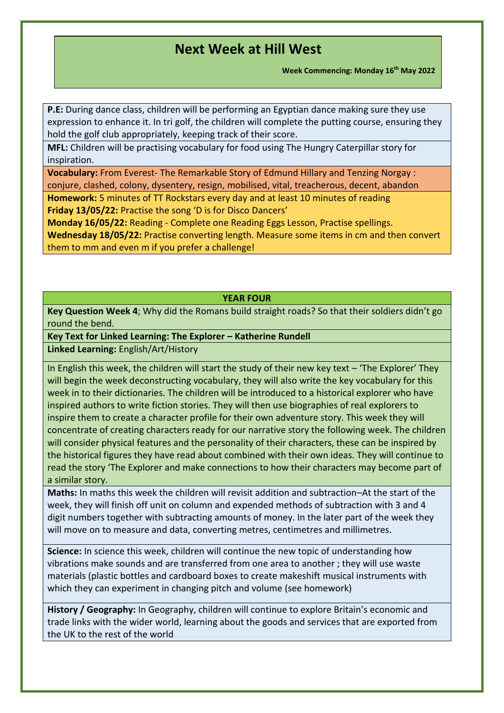**Week Commencing: Monday 16th May 2022**

**P.E:** During dance class, children will be performing an Egyptian dance making sure they use expression to enhance it. In tri golf, the children will complete the putting course, ensuring they hold the golf club appropriately, keeping track of their score.

**MFL:** Children will be practising vocabulary for food using The Hungry Caterpillar story for inspiration.

**Vocabulary:** From Everest- The Remarkable Story of Edmund Hillary and Tenzing Norgay : conjure, clashed, colony, dysentery, resign, mobilised, vital, treacherous, decent, abandon

**Homework:** 5 minutes of TT Rockstars every day and at least 10 minutes of reading **Friday 13/05/22:** Practise the song 'D is for Disco Dancers'

**Monday 16/05/22:** Reading - Complete one Reading Eggs Lesson, Practise spellings.

**Wednesday 18/05/22:** Practise converting length. Measure some items in cm and then convert them to mm and even m if you prefer a challenge!

### **YEAR FOUR**

**Key Question Week 4**; Why did the Romans build straight roads? So that their soldiers didn't go round the bend.

**Key Text for Linked Learning: The Explorer – Katherine Rundell**

**Linked Learning:** English/Art/History

In English this week, the children will start the study of their new key text – 'The Explorer' They will begin the week deconstructing vocabulary, they will also write the key vocabulary for this week in to their dictionaries. The children will be introduced to a historical explorer who have inspired authors to write fiction stories. They will then use biographies of real explorers to inspire them to create a character profile for their own adventure story. This week they will concentrate of creating characters ready for our narrative story the following week. The children will consider physical features and the personality of their characters, these can be inspired by the historical figures they have read about combined with their own ideas. They will continue to read the story 'The Explorer and make connections to how their characters may become part of a similar story.

**Maths:** In maths this week the children will revisit addition and subtraction–At the start of the week, they will finish off unit on column and expended methods of subtraction with 3 and 4 digit numbers together with subtracting amounts of money. In the later part of the week they will move on to measure and data, converting metres, centimetres and millimetres.

**Science:** In science this week, children will continue the new topic of understanding how vibrations make sounds and are transferred from one area to another ; they will use waste materials (plastic bottles and cardboard boxes to create makeshift musical instruments with which they can experiment in changing pitch and volume (see homework)

**History / Geography:** In Geography, children will continue to explore Britain's economic and trade links with the wider world, learning about the goods and services that are exported from the UK to the rest of the world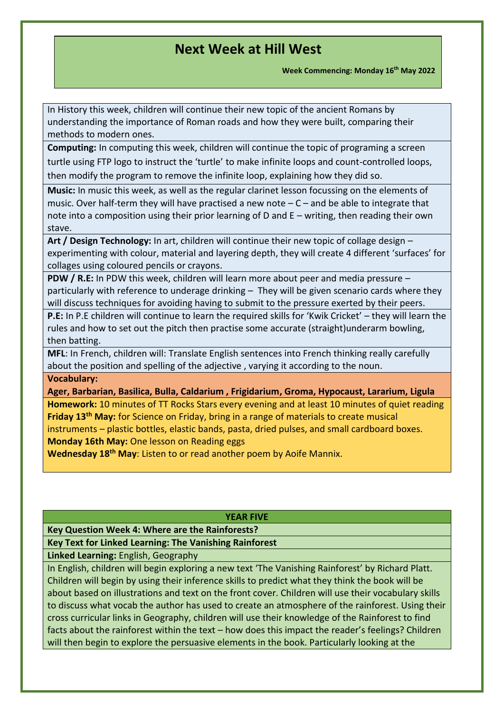**Week Commencing: Monday 16th May 2022**

In History this week, children will continue their new topic of the ancient Romans by understanding the importance of Roman roads and how they were built, comparing their methods to modern ones.

**Computing:** In computing this week, children will continue the topic of programing a screen turtle using FTP logo to instruct the 'turtle' to make infinite loops and count-controlled loops, then modify the program to remove the infinite loop, explaining how they did so.

**Music:** In music this week, as well as the regular clarinet lesson focussing on the elements of music. Over half-term they will have practised a new note  $-C$  – and be able to integrate that note into a composition using their prior learning of D and E – writing, then reading their own stave.

**Art / Design Technology:** In art, children will continue their new topic of collage design – experimenting with colour, material and layering depth, they will create 4 different 'surfaces' for collages using coloured pencils or crayons.

**PDW / R.E:** In PDW this week, children will learn more about peer and media pressure – particularly with reference to underage drinking – They will be given scenario cards where they will discuss techniques for avoiding having to submit to the pressure exerted by their peers.

**P.E:** In P.E children will continue to learn the required skills for 'Kwik Cricket' – they will learn the rules and how to set out the pitch then practise some accurate (straight)underarm bowling, then batting.

**MFL**: In French, children will: Translate English sentences into French thinking really carefully about the position and spelling of the adjective , varying it according to the noun.

### **Vocabulary:**

**Ager, Barbarian, Basilica, Bulla, Caldarium , Frigidarium, Groma, Hypocaust, Lararium, Ligula**

**Homework:** 10 minutes of TT Rocks Stars every evening and at least 10 minutes of quiet reading **Friday 13th May:** for Science on Friday, bring in a range of materials to create musical instruments – plastic bottles, elastic bands, pasta, dried pulses, and small cardboard boxes. **Monday 16th May:** One lesson on Reading eggs

**Wednesday 18th May**: Listen to or read another poem by Aoife Mannix.

#### **YEAR FIVE**

**Key Question Week 4: Where are the Rainforests?**

### **Key Text for Linked Learning: The Vanishing Rainforest**

**Linked Learning:** English, Geography

In English, children will begin exploring a new text 'The Vanishing Rainforest' by Richard Platt. Children will begin by using their inference skills to predict what they think the book will be about based on illustrations and text on the front cover. Children will use their vocabulary skills to discuss what vocab the author has used to create an atmosphere of the rainforest. Using their cross curricular links in Geography, children will use their knowledge of the Rainforest to find facts about the rainforest within the text – how does this impact the reader's feelings? Children will then begin to explore the persuasive elements in the book. Particularly looking at the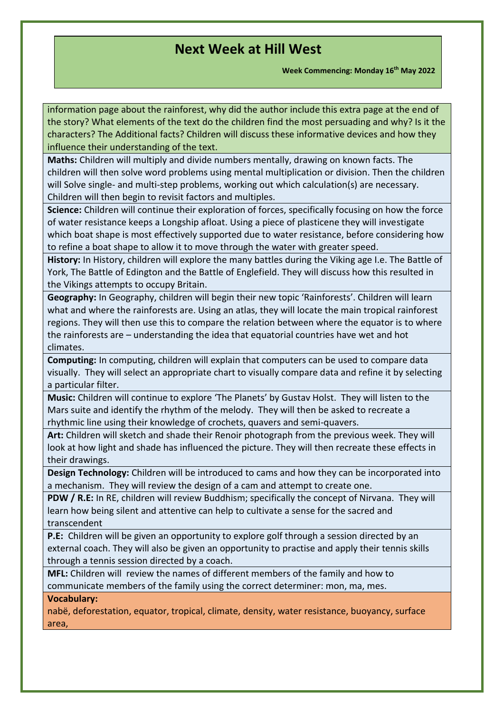**Week Commencing: Monday 16th May 2022**

information page about the rainforest, why did the author include this extra page at the end of the story? What elements of the text do the children find the most persuading and why? Is it the characters? The Additional facts? Children will discuss these informative devices and how they influence their understanding of the text.

**Maths:** Children will multiply and divide numbers mentally, drawing on known facts. The children will then solve word problems using mental multiplication or division. Then the children will Solve single- and multi-step problems, working out which calculation(s) are necessary. Children will then begin to revisit factors and multiples.

**Science:** Children will continue their exploration of forces, specifically focusing on how the force of water resistance keeps a Longship afloat. Using a piece of plasticene they will investigate which boat shape is most effectively supported due to water resistance, before considering how to refine a boat shape to allow it to move through the water with greater speed.

**History:** In History, children will explore the many battles during the Viking age I.e. The Battle of York, The Battle of Edington and the Battle of Englefield. They will discuss how this resulted in the Vikings attempts to occupy Britain.

**Geography:** In Geography, children will begin their new topic 'Rainforests'. Children will learn what and where the rainforests are. Using an atlas, they will locate the main tropical rainforest regions. They will then use this to compare the relation between where the equator is to where the rainforests are – understanding the idea that equatorial countries have wet and hot climates.

**Computing:** In computing, children will explain that computers can be used to compare data visually. They will select an appropriate chart to visually compare data and refine it by selecting a particular filter.

**Music:** Children will continue to explore 'The Planets' by Gustav Holst. They will listen to the Mars suite and identify the rhythm of the melody. They will then be asked to recreate a rhythmic line using their knowledge of crochets, quavers and semi-quavers.

**Art:** Children will sketch and shade their Renoir photograph from the previous week. They will look at how light and shade has influenced the picture. They will then recreate these effects in their drawings.

**Design Technology:** Children will be introduced to cams and how they can be incorporated into a mechanism. They will review the design of a cam and attempt to create one.

**PDW / R.E:** In RE, children will review Buddhism; specifically the concept of Nirvana. They will learn how being silent and attentive can help to cultivate a sense for the sacred and transcendent

**P.E:** Children will be given an opportunity to explore golf through a session directed by an external coach. They will also be given an opportunity to practise and apply their tennis skills through a tennis session directed by a coach.

**MFL:** Children will review the names of different members of the family and how to communicate members of the family using the correct determiner: mon, ma, mes.

**Vocabulary:** 

nabë, deforestation, equator, tropical, climate, density, water resistance, buoyancy, surface area,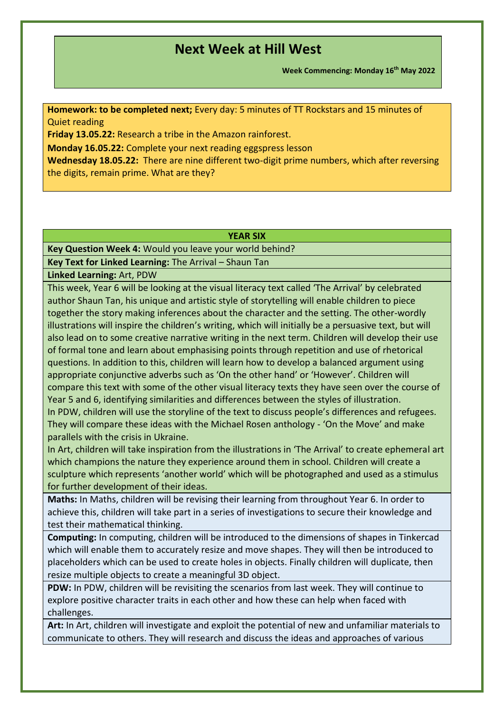**Week Commencing: Monday 16th May 2022**

**Homework: to be completed next;** Every day: 5 minutes of TT Rockstars and 15 minutes of Quiet reading

**Friday 13.05.22:** Research a tribe in the Amazon rainforest.

**Monday 16.05.22:** Complete your next reading eggspress lesson

**Wednesday 18.05.22:** There are nine different two-digit prime numbers, which after reversing the digits, remain prime. What are they?

#### **YEAR SIX**

**Key Question Week 4:** Would you leave your world behind?

**Key Text for Linked Learning:** The Arrival – Shaun Tan

**Linked Learning:** Art, PDW

This week, Year 6 will be looking at the visual literacy text called 'The Arrival' by celebrated author Shaun Tan, his unique and artistic style of storytelling will enable children to piece together the story making inferences about the character and the setting. The other-wordly illustrations will inspire the children's writing, which will initially be a persuasive text, but will also lead on to some creative narrative writing in the next term. Children will develop their use of formal tone and learn about emphasising points through repetition and use of rhetorical questions. In addition to this, children will learn how to develop a balanced argument using appropriate conjunctive adverbs such as 'On the other hand' or 'However'. Children will compare this text with some of the other visual literacy texts they have seen over the course of Year 5 and 6, identifying similarities and differences between the styles of illustration. In PDW, children will use the storyline of the text to discuss people's differences and refugees.

They will compare these ideas with the Michael Rosen anthology - 'On the Move' and make parallels with the crisis in Ukraine.

In Art, children will take inspiration from the illustrations in 'The Arrival' to create ephemeral art which champions the nature they experience around them in school. Children will create a sculpture which represents 'another world' which will be photographed and used as a stimulus for further development of their ideas.

**Maths:** In Maths, children will be revising their learning from throughout Year 6. In order to achieve this, children will take part in a series of investigations to secure their knowledge and test their mathematical thinking.

**Computing:** In computing, children will be introduced to the dimensions of shapes in Tinkercad which will enable them to accurately resize and move shapes. They will then be introduced to placeholders which can be used to create holes in objects. Finally children will duplicate, then resize multiple objects to create a meaningful 3D object.

**PDW:** In PDW, children will be revisiting the scenarios from last week. They will continue to explore positive character traits in each other and how these can help when faced with challenges.

**Art:** In Art, children will investigate and exploit the potential of new and unfamiliar materials to communicate to others. They will research and discuss the ideas and approaches of various